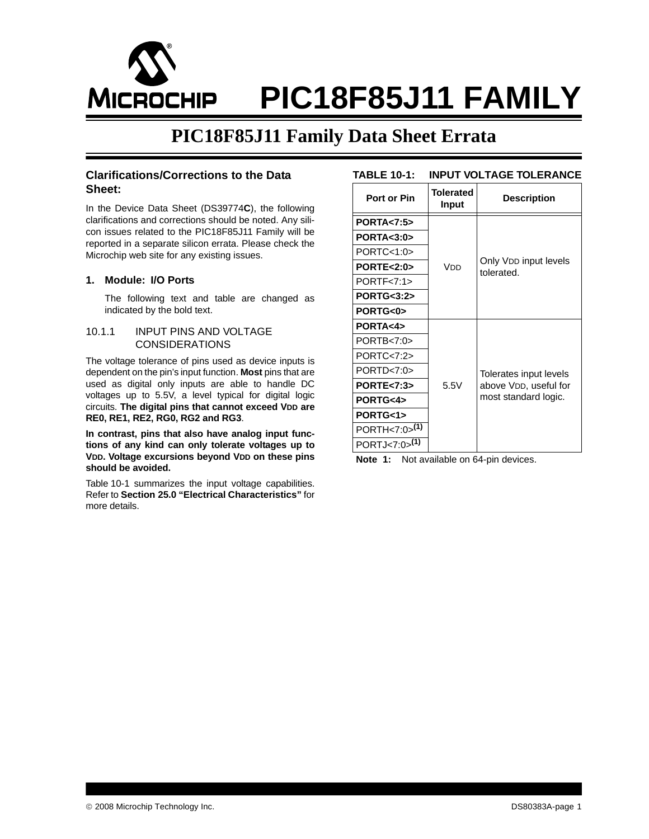

# **PIC18F85J11 FAMILY**

### **PIC18F85J11 Family Data Sheet Errata**

#### **Clarifications/Corrections to the Data Sheet:**

In the Device Data Sheet (DS39774**C**), the following clarifications and corrections should be noted. Any silicon issues related to the PIC18F85J11 Family will be reported in a separate silicon errata. Please check the Microchip web site for any existing issues.

#### **1. Module: I/O Ports**

The following text and table are changed as indicated by the bold text.

#### 10.1.1 INPUT PINS AND VOLTAGE CONSIDERATIONS

The voltage tolerance of pins used as device inputs is dependent on the pin's input function. **Most** pins that are used as digital only inputs are able to handle DC voltages up to 5.5V, a level typical for digital logic circuits. **The digital pins that cannot exceed VDD are RE0, RE1, RE2, RG0, RG2 and RG3**.

**In contrast, pins that also have analog input functions of any kind can only tolerate voltages up to VDD. Voltage excursions beyond VDD on these pins should be avoided.**

[Table 10-1](#page-0-0) summarizes the input voltage capabilities. Refer to **Section 25.0 "Electrical Characteristics"** for more details.

<span id="page-0-0"></span>

| <b>TABLE 10-1:</b>        |                           | <b>INPUT VOLTAGE TOLERANCE</b>      |
|---------------------------|---------------------------|-------------------------------------|
| Port or Pin               | <b>Tolerated</b><br>Input | <b>Description</b>                  |
| <b>PORTA&lt;7:5&gt;</b>   |                           |                                     |
| PORTA < 3:0               |                           |                                     |
| PORTC < 1:0               |                           |                                     |
| PORTE<2:0>                | Vnn                       | Only VDD input levels<br>tolerated. |
| PORTF<7:1                 |                           |                                     |
| <b>PORTG&lt;3:2&gt;</b>   |                           |                                     |
| PORTG<0>                  |                           |                                     |
| PORTA<4>                  |                           |                                     |
| PORTB < 7:0               |                           |                                     |
| PORTC < 7:2               |                           |                                     |
| PORTD < 7:0               |                           | Tolerates input levels              |
| <b>PORTE&lt;7:3&gt;</b>   | 5.5V                      | above VDD, useful for               |
| PORTG<4>                  |                           | most standard logic.                |
| PORTG<1>                  |                           |                                     |
| PORTH<7:0>(1)             |                           |                                     |
| PORTJ<7:0> <sup>(1)</sup> |                           |                                     |

**Note 1:** Not available on 64-pin devices.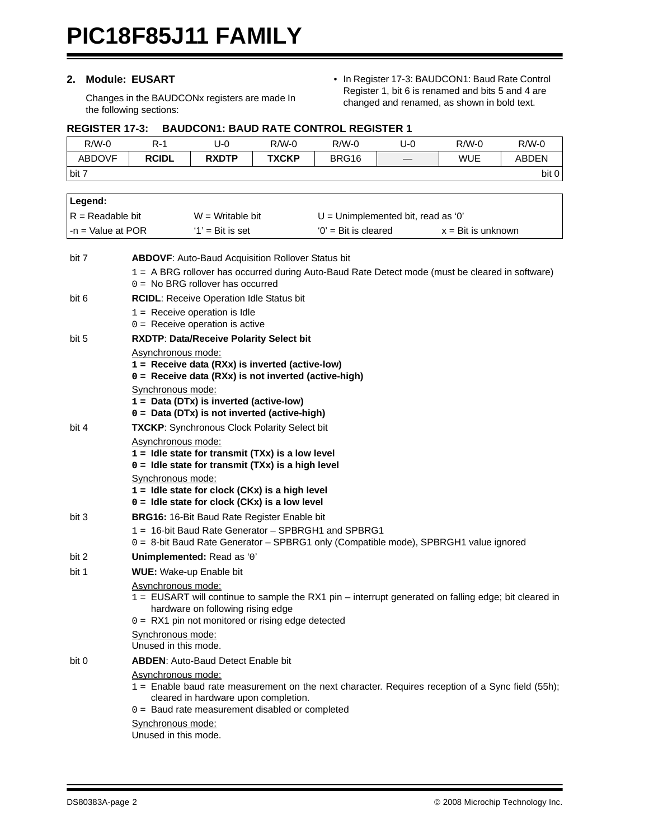#### **2. Module: EUSART**

Changes in the BAUDCONx registers are made In the following sections:

• In Register 17-3: BAUDCON1: Baud Rate Control Register 1, bit 6 is renamed and bits 5 and 4 are changed and renamed, as shown in bold text.

#### **REGISTER 17-3: BAUDCON1: BAUD RATE CONTROL REGISTER 1**

| $R/W-0$             | $R-1$                                     | $U-0$                                                                                                | $R/W-0$      | $R/W-0$                | $U-0$                                | $R/W-0$                     | $R/W-0$      |
|---------------------|-------------------------------------------|------------------------------------------------------------------------------------------------------|--------------|------------------------|--------------------------------------|-----------------------------|--------------|
| <b>ABDOVF</b>       | <b>RCIDL</b>                              | <b>RXDTP</b>                                                                                         | <b>TXCKP</b> | BRG16                  |                                      | <b>WUE</b>                  | <b>ABDEN</b> |
| bit 7               |                                           |                                                                                                      |              |                        |                                      |                             | bit 0        |
|                     |                                           |                                                                                                      |              |                        |                                      |                             |              |
| Legend:             |                                           |                                                                                                      |              |                        |                                      |                             |              |
| $R =$ Readable bit  |                                           | $W = W$ ritable bit                                                                                  |              |                        | $U =$ Unimplemented bit, read as '0' |                             |              |
| $-n =$ Value at POR |                                           | $'1'$ = Bit is set                                                                                   |              | $'0'$ = Bit is cleared |                                      | $x = \text{Bit}$ is unknown |              |
| bit 7               |                                           | <b>ABDOVF:</b> Auto-Baud Acquisition Rollover Status bit                                             |              |                        |                                      |                             |              |
|                     |                                           | 1 = A BRG rollover has occurred during Auto-Baud Rate Detect mode (must be cleared in software)      |              |                        |                                      |                             |              |
|                     |                                           | $0 =$ No BRG rollover has occurred                                                                   |              |                        |                                      |                             |              |
| bit 6               |                                           | RCIDL: Receive Operation Idle Status bit                                                             |              |                        |                                      |                             |              |
|                     |                                           | $1 =$ Receive operation is Idle                                                                      |              |                        |                                      |                             |              |
|                     |                                           | $0 =$ Receive operation is active                                                                    |              |                        |                                      |                             |              |
| bit 5               | Asynchronous mode:                        | RXDTP: Data/Receive Polarity Select bit                                                              |              |                        |                                      |                             |              |
|                     |                                           | $1 =$ Receive data (RXx) is inverted (active-low)                                                    |              |                        |                                      |                             |              |
|                     |                                           | 0 = Receive data (RXx) is not inverted (active-high)                                                 |              |                        |                                      |                             |              |
|                     | Synchronous mode:                         |                                                                                                      |              |                        |                                      |                             |              |
|                     |                                           | $1 = Data (DTx)$ is inverted (active-low)<br>0 = Data (DTx) is not inverted (active-high)            |              |                        |                                      |                             |              |
| bit 4               |                                           | <b>TXCKP:</b> Synchronous Clock Polarity Select bit                                                  |              |                        |                                      |                             |              |
|                     | Asynchronous mode:                        |                                                                                                      |              |                        |                                      |                             |              |
|                     |                                           | $1 =$ Idle state for transmit (TXx) is a low level                                                   |              |                        |                                      |                             |              |
|                     |                                           | $0 =$ Idle state for transmit (TXx) is a high level                                                  |              |                        |                                      |                             |              |
|                     | Synchronous mode:                         | $1 =$ Idle state for clock (CKx) is a high level                                                     |              |                        |                                      |                             |              |
|                     |                                           | $0 =$ Idle state for clock (CKx) is a low level                                                      |              |                        |                                      |                             |              |
| bit 3               |                                           | <b>BRG16: 16-Bit Baud Rate Register Enable bit</b>                                                   |              |                        |                                      |                             |              |
|                     |                                           | 1 = 16-bit Baud Rate Generator - SPBRGH1 and SPBRG1                                                  |              |                        |                                      |                             |              |
|                     |                                           | 0 = 8-bit Baud Rate Generator - SPBRG1 only (Compatible mode), SPBRGH1 value ignored                 |              |                        |                                      |                             |              |
| bit 2               |                                           | Unimplemented: Read as '0'                                                                           |              |                        |                                      |                             |              |
| bit 1               |                                           | WUE: Wake-up Enable bit                                                                              |              |                        |                                      |                             |              |
|                     | Asynchronous mode:                        | 1 = EUSART will continue to sample the RX1 pin – interrupt generated on falling edge; bit cleared in |              |                        |                                      |                             |              |
|                     |                                           | hardware on following rising edge                                                                    |              |                        |                                      |                             |              |
|                     |                                           | $0 = RX1$ pin not monitored or rising edge detected                                                  |              |                        |                                      |                             |              |
|                     | Synchronous mode:<br>Unused in this mode. |                                                                                                      |              |                        |                                      |                             |              |
| bit 0               |                                           | <b>ABDEN:</b> Auto-Baud Detect Enable bit                                                            |              |                        |                                      |                             |              |
|                     | Asynchronous mode:                        |                                                                                                      |              |                        |                                      |                             |              |
|                     |                                           | 1 = Enable baud rate measurement on the next character. Requires reception of a Sync field (55h);    |              |                        |                                      |                             |              |
|                     |                                           | cleared in hardware upon completion.                                                                 |              |                        |                                      |                             |              |
|                     |                                           | 0 = Baud rate measurement disabled or completed                                                      |              |                        |                                      |                             |              |
|                     | Synchronous mode:<br>Unused in this mode. |                                                                                                      |              |                        |                                      |                             |              |
|                     |                                           |                                                                                                      |              |                        |                                      |                             |              |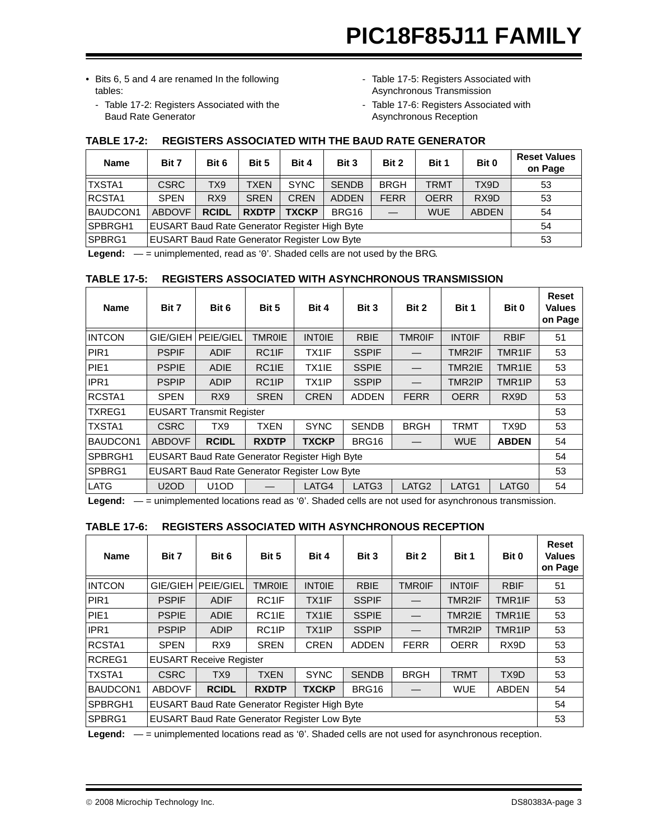- Bits 6, 5 and 4 are renamed In the following tables:
	- - [Table 17-2:](#page-2-0) [Registers Associated with the](#page-2-0)  [Baud Rate Generator](#page-2-0)
- - [Table 17-5](#page-2-1): Registers Associated with Asynchronous Transmission
- - [Table 17-6](#page-2-2): Registers Associated with Asynchronous Reception

| <b>Name</b>     | Bit 7                                         | Bit 6                                                                                                           | Bit 5       | Bit 4       | Bit 3        | Bit 2       | Bit 1       | Bit 0 | <b>Reset Values</b><br>on Page |
|-----------------|-----------------------------------------------|-----------------------------------------------------------------------------------------------------------------|-------------|-------------|--------------|-------------|-------------|-------|--------------------------------|
| ITXSTA1         | <b>CSRC</b>                                   | TX9                                                                                                             | <b>TXEN</b> | <b>SYNC</b> | <b>SENDB</b> | <b>BRGH</b> | <b>TRMT</b> | TX9D  | 53                             |
| RCSTA1          | <b>SPEN</b>                                   | R <sub>X9</sub>                                                                                                 | <b>SREN</b> | <b>CREN</b> | <b>ADDEN</b> | <b>FERR</b> | <b>OERR</b> | RX9D  | 53                             |
| <b>BAUDCON1</b> | <b>ABDOVF</b>                                 | <b>RCIDL</b><br><b>RXDTP</b><br>BRG16<br><b>TXCKP</b><br><b>WUE</b><br><b>ABDEN</b><br>$\overline{\phantom{m}}$ |             |             |              |             |             | 54    |                                |
| SPBRGH1         | EUSART Baud Rate Generator Register High Byte |                                                                                                                 | 54          |             |              |             |             |       |                                |
| SPBRG1          | EUSART Baud Rate Generator Register Low Byte  |                                                                                                                 |             |             |              |             |             |       | 53                             |

#### <span id="page-2-0"></span>**TABLE 17-2: REGISTERS ASSOCIATED WITH THE BAUD RATE GENERATOR**

**Legend:** — = unimplemented, read as '0'. Shaded cells are not used by the BRG.

#### <span id="page-2-1"></span>**TABLE 17-5: REGISTERS ASSOCIATED WITH ASYNCHRONOUS TRANSMISSION**

| <b>Name</b>      | Bit 7         | Bit 6                                                | Bit 5              | Bit 4         | Bit 3        | Bit 2             | Bit 1         | Bit 0               | Reset<br><b>Values</b><br>on Page |
|------------------|---------------|------------------------------------------------------|--------------------|---------------|--------------|-------------------|---------------|---------------------|-----------------------------------|
| <b>INTCON</b>    | GIE/GIEH      | PEIE/GIEL                                            | <b>TMR0IE</b>      | <b>INTOIE</b> | <b>RBIE</b>  | <b>TMR0IF</b>     | <b>INTOIF</b> | <b>RBIF</b>         | 51                                |
| PIR <sub>1</sub> | <b>PSPIF</b>  | <b>ADIF</b>                                          | RC1IF              | TX1IF         | <b>SSPIF</b> |                   | TMR2IF        | TMR1IF              | 53                                |
| PIE <sub>1</sub> | <b>PSPIE</b>  | <b>ADIE</b>                                          | RC1IE              | TX1IE         | <b>SSPIE</b> |                   | TMR2IE        | TMR1IE              | 53                                |
| IPR <sub>1</sub> | <b>PSPIP</b>  | <b>ADIP</b>                                          | RC <sub>1</sub> IP | TX1IP         | <b>SSPIP</b> |                   | TMR2IP        | TMR <sub>1</sub> IP | 53                                |
| RCSTA1           | <b>SPEN</b>   | RX <sub>9</sub>                                      | <b>SREN</b>        | <b>CREN</b>   | <b>ADDEN</b> | <b>FERR</b>       | <b>OERR</b>   | RX9D                | 53                                |
| <b>TXREG1</b>    |               | <b>EUSART Transmit Register</b>                      |                    |               |              |                   |               |                     | 53                                |
| <b>TXSTA1</b>    | <b>CSRC</b>   | TX9                                                  | <b>TXEN</b>        | <b>SYNC</b>   | <b>SENDB</b> | <b>BRGH</b>       | <b>TRMT</b>   | TX9D                | 53                                |
| BAUDCON1         | <b>ABDOVF</b> | <b>RCIDL</b>                                         | <b>RXDTP</b>       | <b>TXCKP</b>  | BRG16        |                   | <b>WUE</b>    | <b>ABDEN</b>        | 54                                |
| SPBRGH1          |               | <b>EUSART Baud Rate Generator Register High Byte</b> |                    |               |              |                   |               |                     | 54                                |
| SPBRG1           |               | <b>EUSART Baud Rate Generator Register Low Byte</b>  |                    |               |              |                   |               |                     | 53                                |
| <b>LATG</b>      | <b>U2OD</b>   | U <sub>1</sub> O <sub>D</sub>                        |                    | LATG4         | LATG3        | LATG <sub>2</sub> | LATG1         | LATG0               | 54                                |

**Legend:** — = unimplemented locations read as '0'. Shaded cells are not used for asynchronous transmission.

#### <span id="page-2-2"></span>**TABLE 17-6: REGISTERS ASSOCIATED WITH ASYNCHRONOUS RECEPTION**

| <b>Name</b>      | Bit 7         | Bit 6                                                | Bit 5         | Bit 4              | Bit 3        | Bit 2         | Bit 1         | Bit 0               | <b>Reset</b><br><b>Values</b><br>on Page |
|------------------|---------------|------------------------------------------------------|---------------|--------------------|--------------|---------------|---------------|---------------------|------------------------------------------|
| <b>INTCON</b>    | GIE/GIEH      | PEIE/GIEL                                            | <b>TMR0IE</b> | <b>INTOIE</b>      | <b>RBIE</b>  | <b>TMR0IF</b> | <b>INTOIF</b> | <b>RBIF</b>         | 51                                       |
| PIR <sub>1</sub> | <b>PSPIF</b>  | <b>ADIF</b>                                          | RC1IF         | TX1IF              | <b>SSPIF</b> |               | TMR2IF        | TMR1IF              | 53                                       |
| PIE <sub>1</sub> | <b>PSPIE</b>  | <b>ADIE</b>                                          | RC1IE         | TX1IE              | <b>SSPIE</b> |               | TMR2IE        | TMR1IE              | 53                                       |
| IPR <sub>1</sub> | <b>PSPIP</b>  | <b>ADIP</b>                                          | RC1IP         | TX <sub>1</sub> IP | <b>SSPIP</b> |               | TMR2IP        | TMR <sub>1</sub> IP | 53                                       |
| RCSTA1           | <b>SPEN</b>   | RX <sub>9</sub>                                      | <b>SREN</b>   | <b>CREN</b>        | <b>ADDEN</b> | <b>FERR</b>   | <b>OERR</b>   | RX9D                | 53                                       |
| RCREG1           |               | <b>EUSART Receive Register</b>                       |               |                    |              |               |               |                     | 53                                       |
| TXSTA1           | <b>CSRC</b>   | TX <sub>9</sub>                                      | <b>TXEN</b>   | <b>SYNC</b>        | <b>SENDB</b> | <b>BRGH</b>   | <b>TRMT</b>   | TX9D                | 53                                       |
| BAUDCON1         | <b>ABDOVF</b> | <b>RCIDL</b>                                         | <b>RXDTP</b>  | <b>TXCKP</b>       | BRG16        |               | <b>WUE</b>    | <b>ABDEN</b>        | 54                                       |
| SPBRGH1          |               | <b>EUSART Baud Rate Generator Register High Byte</b> |               |                    |              |               |               |                     | 54                                       |
| SPBRG1           |               | <b>EUSART Baud Rate Generator Register Low Byte</b>  |               |                    |              |               |               |                     | 53                                       |

**Legend:** — = unimplemented locations read as '0'. Shaded cells are not used for asynchronous reception.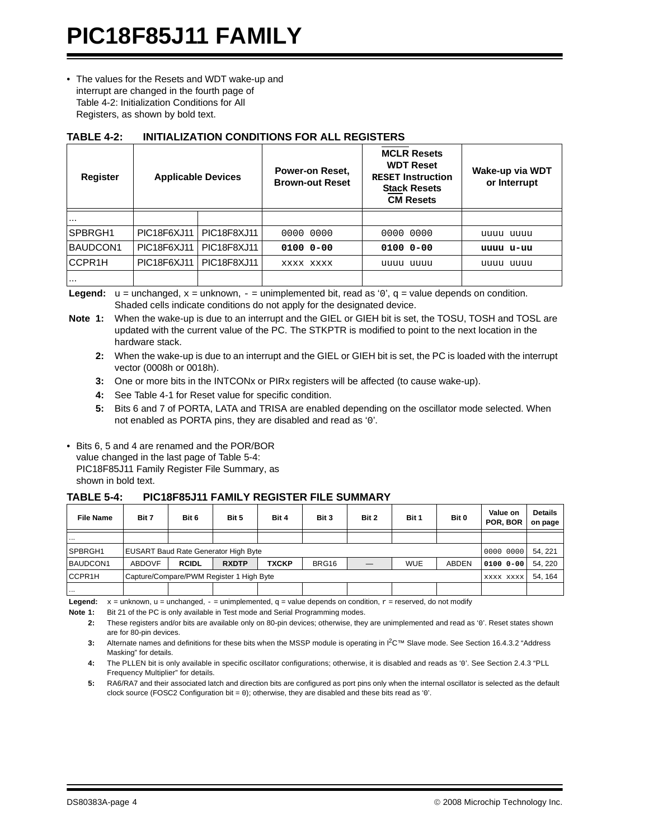## **PIC18F85J11 FAMILY**

• The values for the Resets and WDT wake-up and interrupt are changed in the fourth page of [Table 4-2:](#page-3-0) Initialization Conditions for All Registers, as shown by bold text.

| <b>Register</b> | <b>Applicable Devices</b> |             | Power-on Reset,<br><b>Brown-out Reset</b> | <b>MCLR Resets</b><br><b>WDT Reset</b><br><b>RESET Instruction</b><br><b>Stack Resets</b><br><b>CM Resets</b> | Wake-up via WDT<br>or Interrupt |
|-----------------|---------------------------|-------------|-------------------------------------------|---------------------------------------------------------------------------------------------------------------|---------------------------------|
| $\cdots$        |                           |             |                                           |                                                                                                               |                                 |
| SPBRGH1         | PIC18F6XJ11               | PIC18F8XJ11 | 0000 0000                                 | 0000 0000                                                                                                     | uuuu uuuu                       |
| BAUDCON1        | PIC18F6XJ11               | PIC18F8XJ11 | $010000 - 00$                             | 0100 0-00                                                                                                     | uuuu u-uu                       |
| CCPR1H          | PIC18F6XJ11               | PIC18F8XJ11 | XXXX XXXX                                 | uuuu uuuu                                                                                                     | uuuu uuuu                       |
| $\cdots$        |                           |             |                                           |                                                                                                               |                                 |

#### <span id="page-3-0"></span>**TABLE 4-2: INITIALIZATION CONDITIONS FOR ALL REGISTERS**

**Legend:**  $u =$  unchanged,  $x =$  unknown,  $-\frac{1}{2}$  unimplemented bit, read as '0',  $q =$  value depends on condition. Shaded cells indicate conditions do not apply for the designated device.

- **Note 1:** When the wake-up is due to an interrupt and the GIEL or GIEH bit is set, the TOSU, TOSH and TOSL are updated with the current value of the PC. The STKPTR is modified to point to the next location in the hardware stack.
	- **2:** When the wake-up is due to an interrupt and the GIEL or GIEH bit is set, the PC is loaded with the interrupt vector (0008h or 0018h).
	- **3:** One or more bits in the INTCONx or PIRx registers will be affected (to cause wake-up).
	- **4:** See Table 4-1 for Reset value for specific condition.
	- **5:** Bits 6 and 7 of PORTA, LATA and TRISA are enabled depending on the oscillator mode selected. When not enabled as PORTA pins, they are disabled and read as '0'.
- Bits 6, 5 and 4 are renamed and the POR/BOR value changed in the last page of [Table 5-4](#page-3-1): [PIC18F85J11 Family Register File Summary](#page-3-1), as shown in bold text.

#### <span id="page-3-1"></span>**TABLE 5-4: PIC18F85J11 FAMILY REGISTER FILE SUMMARY**

| <b>File Name</b> | Bit 7                                       | Bit 6        | Bit 5        | Bit 4        | Bit 3 | Bit 2 | Bit 1      | Bit 0 | Value on<br><b>POR. BOR</b> | <b>Details</b><br>on page |
|------------------|---------------------------------------------|--------------|--------------|--------------|-------|-------|------------|-------|-----------------------------|---------------------------|
| $\cdots$         |                                             |              |              |              |       |       |            |       |                             |                           |
| SPBRGH1          | <b>EUSART Baud Rate Generator High Byte</b> |              |              |              |       |       |            |       |                             | 54, 221                   |
| BAUDCON1         | <b>ABDOVF</b>                               | <b>RCIDL</b> | <b>RXDTP</b> | <b>TXCKP</b> | BRG16 |       | <b>WUE</b> | ABDEN | 0100 0-00                   | 54.220                    |
| CCPR1H           | Capture/Compare/PWM Register 1 High Byte    |              |              |              |       |       |            |       |                             | 54.164                    |
| $\cdots$         |                                             |              |              |              |       |       |            |       |                             |                           |

**Legend:**  $x =$  unknown,  $u =$  unchanged,  $-$  = unimplemented,  $q =$  value depends on condition,  $r =$  reserved, do not modify

Note 1: Bit 21 of the PC is only available in Test mode and Serial Programming modes.

**4:** The PLLEN bit is only available in specific oscillator configurations; otherwise, it is disabled and reads as '0'. See Section 2.4.3 "PLL Frequency Multiplier" for details.

**5:** RA6/RA7 and their associated latch and direction bits are configured as port pins only when the internal oscillator is selected as the default clock source (FOSC2 Configuration bit = 0); otherwise, they are disabled and these bits read as '0'.

**<sup>2:</sup>** These registers and/or bits are available only on 80-pin devices; otherwise, they are unimplemented and read as '0'. Reset states shown are for 80-pin devices.

**<sup>3:</sup>** Alternate names and definitions for these bits when the MSSP module is operating in I<sup>2</sup>C™ Slave mode. See Section 16.4.3.2 "Address Masking" for details.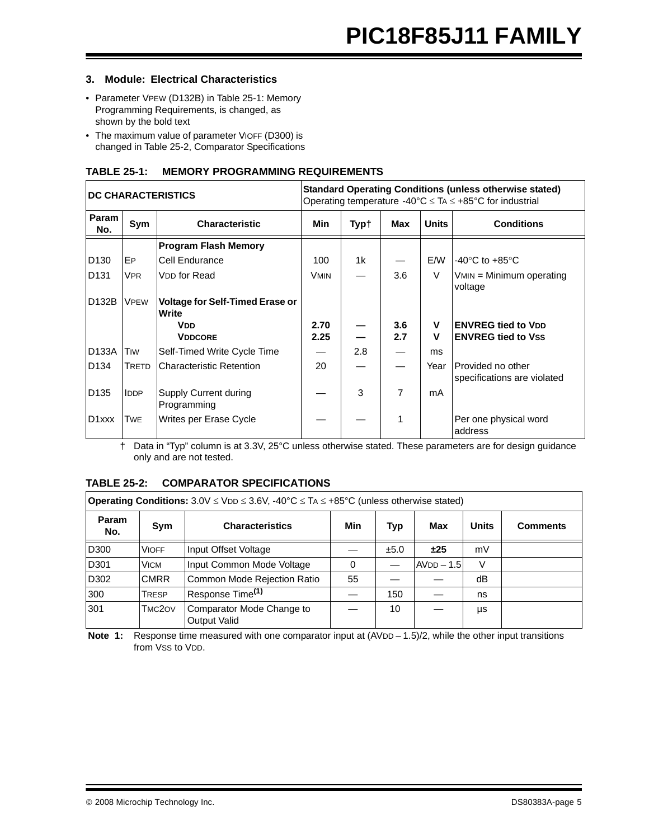#### **3. Module: Electrical Characteristics**

- Parameter VPEW (D132B) in [Table 25-1:](#page-4-0) [Memory](#page-4-0)  [Programming Requirements](#page-4-0), is changed, as shown by the bold text
- The maximum value of parameter VIOFF (D300) is changed in [Table 25-2](#page-4-1), [Comparator Specifications](#page-4-1)

#### <span id="page-4-0"></span>**TABLE 25-1: MEMORY PROGRAMMING REQUIREMENTS**

|                    |             | <b>DC CHARACTERISTICS</b>                       | <b>Standard Operating Conditions (unless otherwise stated)</b><br>Operating temperature -40°C $\leq$ TA $\leq$ +85°C for industrial |                |            |              |                                                        |  |  |
|--------------------|-------------|-------------------------------------------------|-------------------------------------------------------------------------------------------------------------------------------------|----------------|------------|--------------|--------------------------------------------------------|--|--|
| Param<br>No.       | Sym         | <b>Characteristic</b>                           | Min                                                                                                                                 | Typ†           | Max        | <b>Units</b> | <b>Conditions</b>                                      |  |  |
|                    |             | <b>Program Flash Memory</b>                     |                                                                                                                                     |                |            |              |                                                        |  |  |
| D <sub>130</sub>   | EP.         | Cell Endurance                                  | 100                                                                                                                                 | 1 <sub>k</sub> |            | E/W          | -40 $\degree$ C to +85 $\degree$ C                     |  |  |
| D <sub>131</sub>   | <b>VPR</b>  | V <sub>DD</sub> for Read                        | <b>VMIN</b>                                                                                                                         |                | 3.6        | $\vee$       | $VMIN = Minimum operating$<br>voltage                  |  |  |
| D132B              | <b>VPEW</b> | <b>Voltage for Self-Timed Erase or</b><br>Write |                                                                                                                                     |                |            |              |                                                        |  |  |
|                    |             | <b>VDD</b><br><b>VDDCORE</b>                    | 2.70<br>2.25                                                                                                                        |                | 3.6<br>2.7 | v<br>V       | <b>ENVREG tied to VDD</b><br><b>ENVREG tied to Vss</b> |  |  |
| D133A              | <b>TIW</b>  | Self-Timed Write Cycle Time                     |                                                                                                                                     | 2.8            |            | ms           |                                                        |  |  |
| D <sub>134</sub>   | TRETD       | <b>Characteristic Retention</b>                 | 20                                                                                                                                  |                |            | Year         | Provided no other<br>specifications are violated       |  |  |
| D <sub>135</sub>   | <b>IDDP</b> | Supply Current during<br>Programming            |                                                                                                                                     | 3              | 7          | mA           |                                                        |  |  |
| D <sub>1</sub> xxx | Twe         | Writes per Erase Cycle                          |                                                                                                                                     |                | 1          |              | Per one physical word<br>address                       |  |  |

† Data in "Typ" column is at 3.3V, 25°C unless otherwise stated. These parameters are for design guidance only and are not tested.

#### <span id="page-4-1"></span>**TABLE 25-2: COMPARATOR SPECIFICATIONS**

|                  | <b>Operating Conditions:</b> $3.0V \le VDD \le 3.6V$ , $-40^{\circ}C \le TA \le +85^{\circ}C$ (unless otherwise stated) |                                                  |     |            |              |              |                 |  |  |  |  |
|------------------|-------------------------------------------------------------------------------------------------------------------------|--------------------------------------------------|-----|------------|--------------|--------------|-----------------|--|--|--|--|
| Param<br>No.     | Sym                                                                                                                     | <b>Characteristics</b>                           | Min | <b>Typ</b> | <b>Max</b>   | <b>Units</b> | <b>Comments</b> |  |  |  |  |
| D <sub>300</sub> | <b>VIOFF</b>                                                                                                            | Input Offset Voltage                             |     | ±5.0       | ±25          | mV           |                 |  |  |  |  |
| D301             | <b>VICM</b>                                                                                                             | Input Common Mode Voltage                        | 0   |            | $AVDD - 1.5$ | $\vee$       |                 |  |  |  |  |
| D302             | <b>CMRR</b>                                                                                                             | Common Mode Rejection Ratio                      | 55  |            |              | dB           |                 |  |  |  |  |
| 300              | <b>TRESP</b>                                                                                                            | Response Time <sup>(1)</sup>                     |     | 150        |              | ns           |                 |  |  |  |  |
| 301              | TMC2OV                                                                                                                  | Comparator Mode Change to<br><b>Output Valid</b> |     | 10         |              | μs           |                 |  |  |  |  |

**Note 1:** Response time measured with one comparator input at (AVDD – 1.5)/2, while the other input transitions from Vss to V<sub>DD</sub>.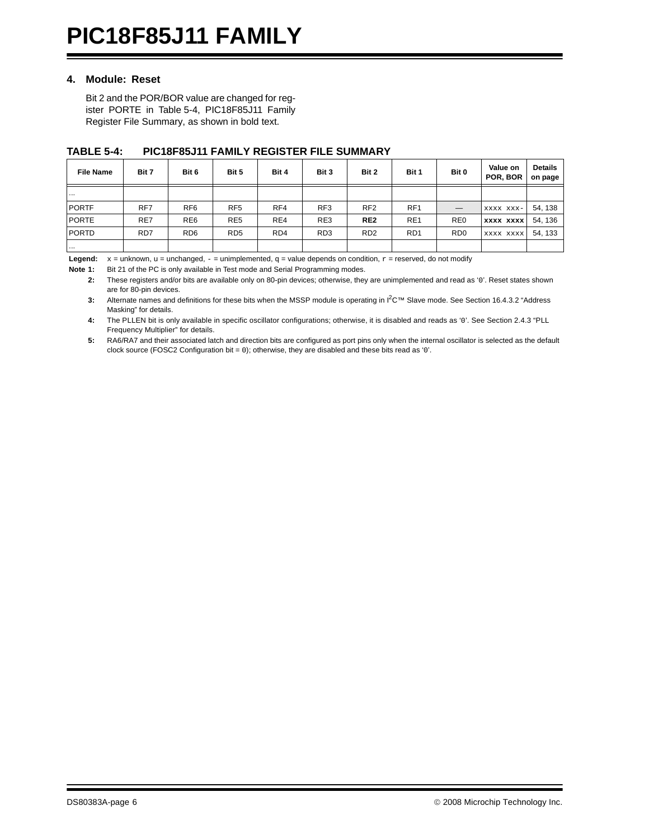#### **4. Module: Reset**

Bit 2 and the POR/BOR value are changed for register PORTE in [Table 5-4,](#page-5-0) [PIC18F85J11 Family](#page-5-0) [Register File Summary](#page-5-0), as shown in bold text.

| <b>File Name</b> | Bit 7 | Bit 6           | Bit 5           | Bit 4           | Bit 3           | Bit 2                       | Bit 1            | Bit 0                       | Value on<br>POR, BOR | <b>Details</b><br>on page |
|------------------|-------|-----------------|-----------------|-----------------|-----------------|-----------------------------|------------------|-----------------------------|----------------------|---------------------------|
| $\cdots$         |       |                 |                 |                 |                 |                             |                  |                             |                      |                           |
| <b>PORTF</b>     | RF7   | RF <sub>6</sub> | RF <sub>5</sub> | RF4             | RF <sub>3</sub> | RF <sub>2</sub>             | RF <sub>1</sub>  |                             | XXXX XXX-            | 54, 138                   |
| <b>PORTE</b>     | RE7   | RE <sub>6</sub> | RE <sub>5</sub> | RE4             | RE3             | RE <sub>2</sub>             | RE <sub>1</sub>  | RE <sub>0</sub>             | <b>XXXX XXXX</b>     | 54, 136                   |
| <b>PORTD</b>     | RD7   | RD <sub>6</sub> | RD <sub>5</sub> | RD <sub>4</sub> | RD <sub>3</sub> | R <sub>D</sub> <sub>2</sub> | R <sub>D</sub> 1 | R <sub>D</sub> <sub>0</sub> | XXXX XXXX            | 54, 133                   |
| $\cdots$         |       |                 |                 |                 |                 |                             |                  |                             |                      |                           |

#### <span id="page-5-0"></span>**TABLE 5-4: PIC18F85J11 FAMILY REGISTER FILE SUMMARY**

**Legend:**  $x =$  unknown,  $u =$  unchanged,  $-$  = unimplemented,  $q =$  value depends on condition,  $r =$  reserved, do not modify

**Note 1:** Bit 21 of the PC is only available in Test mode and Serial Programming modes.

**2:** These registers and/or bits are available only on 80-pin devices; otherwise, they are unimplemented and read as '0'. Reset states shown are for 80-pin devices.

**3:** Alternate names and definitions for these bits when the MSSP module is operating in I2C™ Slave mode. See Section 16.4.3.2 "Address Masking" for details.

**4:** The PLLEN bit is only available in specific oscillator configurations; otherwise, it is disabled and reads as '0'. See Section 2.4.3 "PLL Frequency Multiplier" for details.

**5:** RA6/RA7 and their associated latch and direction bits are configured as port pins only when the internal oscillator is selected as the default clock source (FOSC2 Configuration bit = 0); otherwise, they are disabled and these bits read as '0'.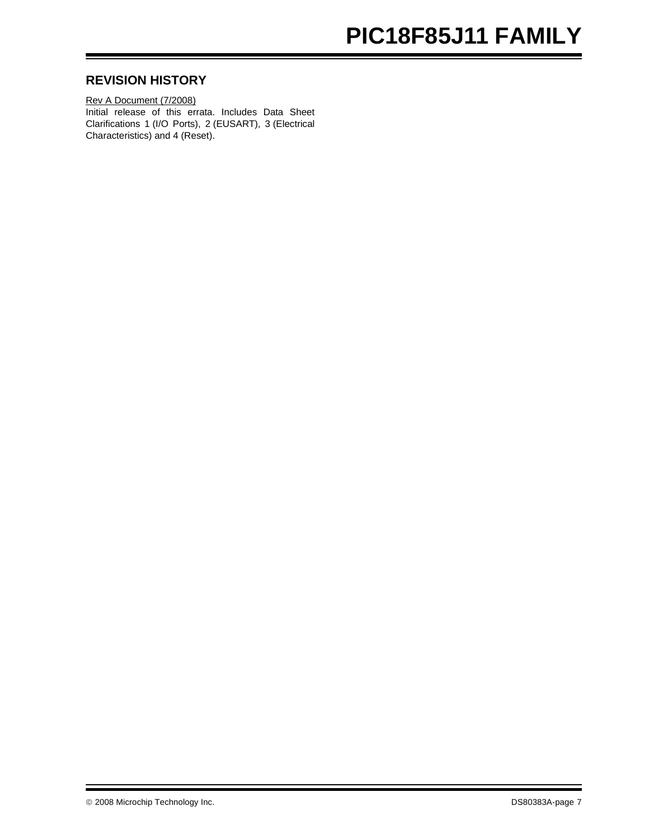## **PIC18F85J11 FAMILY**

#### **REVISION HISTORY**

Rev A Document (7/2008) Initial release of this errata. Includes Data Sheet Clarifications 1 (I/O Ports), 2 (EUSART), 3 (Electrical Characteristics) and 4 (Reset).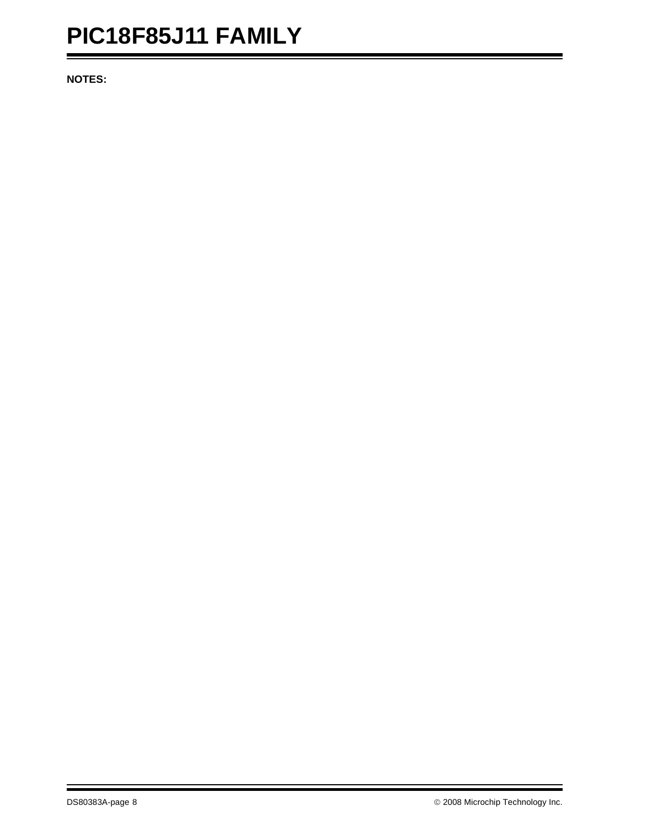**NOTES:**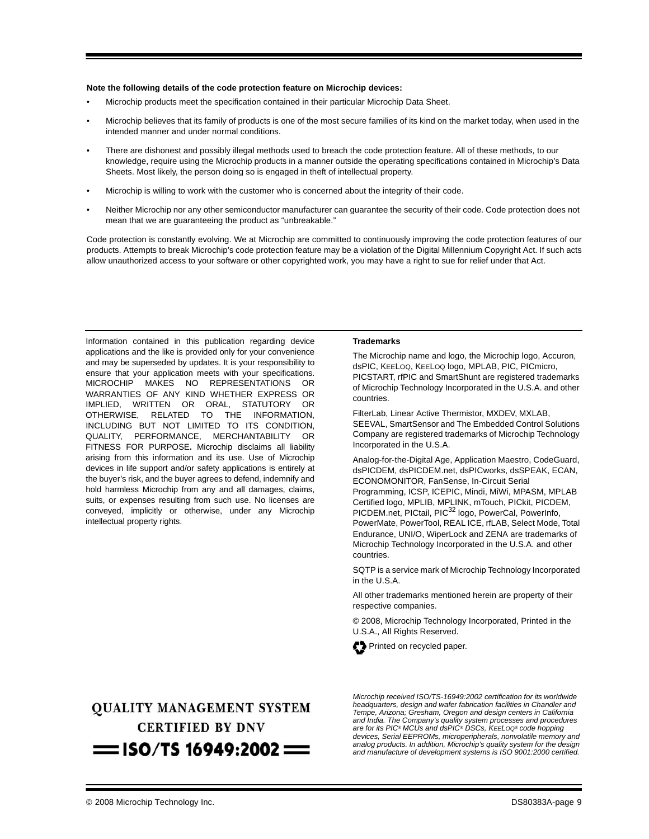#### **Note the following details of the code protection feature on Microchip devices:**

- Microchip products meet the specification contained in their particular Microchip Data Sheet.
- Microchip believes that its family of products is one of the most secure families of its kind on the market today, when used in the intended manner and under normal conditions.
- There are dishonest and possibly illegal methods used to breach the code protection feature. All of these methods, to our knowledge, require using the Microchip products in a manner outside the operating specifications contained in Microchip's Data Sheets. Most likely, the person doing so is engaged in theft of intellectual property.
- Microchip is willing to work with the customer who is concerned about the integrity of their code.
- Neither Microchip nor any other semiconductor manufacturer can guarantee the security of their code. Code protection does not mean that we are guaranteeing the product as "unbreakable."

Code protection is constantly evolving. We at Microchip are committed to continuously improving the code protection features of our products. Attempts to break Microchip's code protection feature may be a violation of the Digital Millennium Copyright Act. If such acts allow unauthorized access to your software or other copyrighted work, you may have a right to sue for relief under that Act.

Information contained in this publication regarding device applications and the like is provided only for your convenience and may be superseded by updates. It is your responsibility to ensure that your application meets with your specifications. MICROCHIP MAKES NO REPRESENTATIONS OR WARRANTIES OF ANY KIND WHETHER EXPRESS OR IMPLIED, WRITTEN OR ORAL, STATUTORY OR OTHERWISE, RELATED TO THE INFORMATION, INCLUDING BUT NOT LIMITED TO ITS CONDITION, QUALITY, PERFORMANCE, MERCHANTABILITY OR FITNESS FOR PURPOSE**.** Microchip disclaims all liability arising from this information and its use. Use of Microchip devices in life support and/or safety applications is entirely at the buyer's risk, and the buyer agrees to defend, indemnify and hold harmless Microchip from any and all damages, claims, suits, or expenses resulting from such use. No licenses are conveyed, implicitly or otherwise, under any Microchip intellectual property rights.

#### **Trademarks**

The Microchip name and logo, the Microchip logo, Accuron, dsPIC, KEELOQ, KEELOQ logo, MPLAB, PIC, PICmicro, PICSTART, rfPIC and SmartShunt are registered trademarks of Microchip Technology Incorporated in the U.S.A. and other countries.

FilterLab, Linear Active Thermistor, MXDEV, MXLAB, SEEVAL, SmartSensor and The Embedded Control Solutions Company are registered trademarks of Microchip Technology Incorporated in the U.S.A.

Analog-for-the-Digital Age, Application Maestro, CodeGuard, dsPICDEM, dsPICDEM.net, dsPICworks, dsSPEAK, ECAN, ECONOMONITOR, FanSense, In-Circuit Serial Programming, ICSP, ICEPIC, Mindi, MiWi, MPASM, MPLAB Certified logo, MPLIB, MPLINK, mTouch, PICkit, PICDEM, PICDEM.net, PICtail, PIC<sup>32</sup> logo, PowerCal, PowerInfo, PowerMate, PowerTool, REAL ICE, rfLAB, Select Mode, Total Endurance, UNI/O, WiperLock and ZENA are trademarks of Microchip Technology Incorporated in the U.S.A. and other countries.

SQTP is a service mark of Microchip Technology Incorporated in the U.S.A.

All other trademarks mentioned herein are property of their respective companies.

© 2008, Microchip Technology Incorporated, Printed in the U.S.A., All Rights Reserved.



## **QUALITY MANAGEMENT SYSTEM CERTIFIED BY DNV**  $=$  ISO/TS 16949:2002  $=$

*Microchip received ISO/TS-16949:2002 certification for its worldwide headquarters, design and wafer fabrication facilities in Chandler and Tempe, Arizona; Gresham, Oregon and design centers in California and India. The Company's quality system processes and procedures are for its PIC® MCUs and dsPIC® DSCs, KEELOQ® code hopping devices, Serial EEPROMs, microperipherals, nonvolatile memory and analog products. In addition, Microchip's quality system for the design and manufacture of development systems is ISO 9001:2000 certified.*